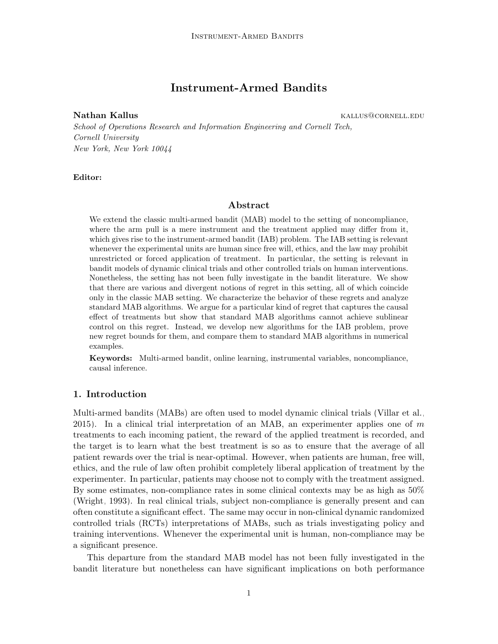# Instrument-Armed Bandits

Nathan Kallus **Kallus** kallus kallus kallus kallus kallus kallus kallus kallus kallus kallus kallus kallus kallus kal

School of Operations Research and Information Engineering and Cornell Tech, Cornell University New York, New York 10044

## Editor:

# Abstract

We extend the classic multi-armed bandit (MAB) model to the setting of noncompliance, where the arm pull is a mere instrument and the treatment applied may differ from it, which gives rise to the instrument-armed bandit (IAB) problem. The IAB setting is relevant whenever the experimental units are human since free will, ethics, and the law may prohibit unrestricted or forced application of treatment. In particular, the setting is relevant in bandit models of dynamic clinical trials and other controlled trials on human interventions. Nonetheless, the setting has not been fully investigate in the bandit literature. We show that there are various and divergent notions of regret in this setting, all of which coincide only in the classic MAB setting. We characterize the behavior of these regrets and analyze standard MAB algorithms. We argue for a particular kind of regret that captures the causal effect of treatments but show that standard MAB algorithms cannot achieve sublinear control on this regret. Instead, we develop new algorithms for the IAB problem, prove new regret bounds for them, and compare them to standard MAB algorithms in numerical examples.

Keywords: Multi-armed bandit, online learning, instrumental variables, noncompliance, causal inference.

## <span id="page-0-0"></span>1. Introduction

Multi-armed bandits (MABs) are often used to model dynamic clinical trials [\(Villar et al.,](#page-17-0) [2015\)](#page-17-0). In a clinical trial interpretation of an MAB, an experimenter applies one of  $m$ treatments to each incoming patient, the reward of the applied treatment is recorded, and the target is to learn what the best treatment is so as to ensure that the average of all patient rewards over the trial is near-optimal. However, when patients are human, free will, ethics, and the rule of law often prohibit completely liberal application of treatment by the experimenter. In particular, patients may choose not to comply with the treatment assigned. By some estimates, non-compliance rates in some clinical contexts may be as high as 50% [\(Wright, 1993\)](#page-17-1). In real clinical trials, subject non-compliance is generally present and can often constitute a significant effect. The same may occur in non-clinical dynamic randomized controlled trials (RCTs) interpretations of MABs, such as trials investigating policy and training interventions. Whenever the experimental unit is human, non-compliance may be a significant presence.

This departure from the standard MAB model has not been fully investigated in the bandit literature but nonetheless can have significant implications on both performance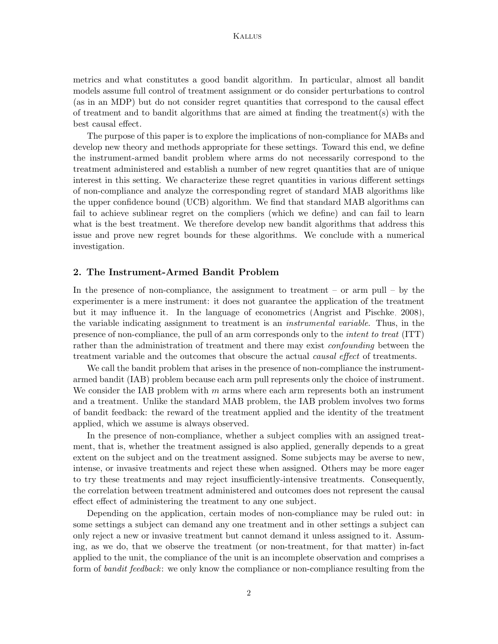metrics and what constitutes a good bandit algorithm. In particular, almost all bandit models assume full control of treatment assignment or do consider perturbations to control (as in an MDP) but do not consider regret quantities that correspond to the causal effect of treatment and to bandit algorithms that are aimed at finding the treatment(s) with the best causal effect.

The purpose of this paper is to explore the implications of non-compliance for MABs and develop new theory and methods appropriate for these settings. Toward this end, we define the instrument-armed bandit problem where arms do not necessarily correspond to the treatment administered and establish a number of new regret quantities that are of unique interest in this setting. We characterize these regret quantities in various different settings of non-compliance and analyze the corresponding regret of standard MAB algorithms like the upper confidence bound (UCB) algorithm. We find that standard MAB algorithms can fail to achieve sublinear regret on the compliers (which we define) and can fail to learn what is the best treatment. We therefore develop new bandit algorithms that address this issue and prove new regret bounds for these algorithms. We conclude with a numerical investigation.

# <span id="page-1-0"></span>2. The Instrument-Armed Bandit Problem

In the presence of non-compliance, the assignment to treatment – or arm pull – by the experimenter is a mere instrument: it does not guarantee the application of the treatment but it may influence it. In the language of econometrics [\(Angrist and Pischke, 2008\)](#page-16-0), the variable indicating assignment to treatment is an *instrumental variable*. Thus, in the presence of non-compliance, the pull of an arm corresponds only to the intent to treat (ITT) rather than the administration of treatment and there may exist *confounding* between the treatment variable and the outcomes that obscure the actual *causal effect* of treatments.

We call the bandit problem that arises in the presence of non-compliance the instrumentarmed bandit (IAB) problem because each arm pull represents only the choice of instrument. We consider the IAB problem with  $m$  arms where each arm represents both an instrument and a treatment. Unlike the standard MAB problem, the IAB problem involves two forms of bandit feedback: the reward of the treatment applied and the identity of the treatment applied, which we assume is always observed.

In the presence of non-compliance, whether a subject complies with an assigned treatment, that is, whether the treatment assigned is also applied, generally depends to a great extent on the subject and on the treatment assigned. Some subjects may be averse to new, intense, or invasive treatments and reject these when assigned. Others may be more eager to try these treatments and may reject insufficiently-intensive treatments. Consequently, the correlation between treatment administered and outcomes does not represent the causal effect effect of administering the treatment to any one subject.

Depending on the application, certain modes of non-compliance may be ruled out: in some settings a subject can demand any one treatment and in other settings a subject can only reject a new or invasive treatment but cannot demand it unless assigned to it. Assuming, as we do, that we observe the treatment (or non-treatment, for that matter) in-fact applied to the unit, the compliance of the unit is an incomplete observation and comprises a form of *bandit feedback*: we only know the compliance or non-compliance resulting from the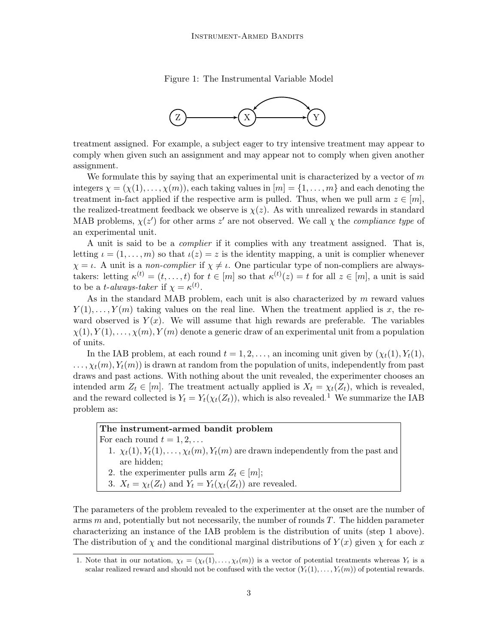Figure 1: The Instrumental Variable Model



<span id="page-2-1"></span>treatment assigned. For example, a subject eager to try intensive treatment may appear to comply when given such an assignment and may appear not to comply when given another assignment.

We formulate this by saying that an experimental unit is characterized by a vector of  $m$ integers  $\chi = (\chi(1), \ldots, \chi(m))$ , each taking values in  $[m] = \{1, \ldots, m\}$  and each denoting the treatment in-fact applied if the respective arm is pulled. Thus, when we pull arm  $z \in [m]$ , the realized-treatment feedback we observe is  $\chi(z)$ . As with unrealized rewards in standard MAB problems,  $\chi(z')$  for other arms z' are not observed. We call  $\chi$  the *compliance type* of an experimental unit.

A unit is said to be a complier if it complies with any treatment assigned. That is, letting  $\iota = (1, \ldots, m)$  so that  $\iota(z) = z$  is the identity mapping, a unit is complier whenever  $\chi = \iota$ . A unit is a non-complier if  $\chi \neq \iota$ . One particular type of non-compliers are alwaystakers: letting  $\kappa^{(t)} = (t, \ldots, t)$  for  $t \in [m]$  so that  $\kappa^{(t)}(z) = t$  for all  $z \in [m]$ , a unit is said to be a *t*-always-taker if  $\chi = \kappa^{(t)}$ .

As in the standard MAB problem, each unit is also characterized by m reward values  $Y(1), \ldots, Y(m)$  taking values on the real line. When the treatment applied is x, the reward observed is  $Y(x)$ . We will assume that high rewards are preferable. The variables  $\chi(1), Y(1), \ldots, \chi(m), Y(m)$  denote a generic draw of an experimental unit from a population of units.

In the IAB problem, at each round  $t = 1, 2, \ldots$ , an incoming unit given by  $(\chi_t(1), Y_t(1))$ ,  $\ldots, \chi_t(m), Y_t(m)$  is drawn at random from the population of units, independently from past draws and past actions. With nothing about the unit revealed, the experimenter chooses an intended arm  $Z_t \in [m]$ . The treatment actually applied is  $X_t = \chi_t(Z_t)$ , which is revealed, and the reward collected is  $Y_t = Y_t(\chi_t(Z_t))$ , which is also revealed.<sup>[1](#page-2-0)</sup> We summarize the IAB problem as:

# The instrument-armed bandit problem

- For each round  $t = 1, 2, \ldots$ 
	- 1.  $\chi_t(1), Y_t(1), \ldots, \chi_t(m), Y_t(m)$  are drawn independently from the past and are hidden;
	- 2. the experimenter pulls arm  $Z_t \in [m];$
	- 3.  $X_t = \chi_t(Z_t)$  and  $Y_t = Y_t(\chi_t(Z_t))$  are revealed.

The parameters of the problem revealed to the experimenter at the onset are the number of arms  $m$  and, potentially but not necessarily, the number of rounds  $T$ . The hidden parameter characterizing an instance of the IAB problem is the distribution of units (step 1 above). The distribution of  $\chi$  and the conditional marginal distributions of  $Y(x)$  given  $\chi$  for each x

<span id="page-2-0"></span><sup>1.</sup> Note that in our notation,  $\chi_t = (\chi_t(1), \ldots, \chi_t(m))$  is a vector of potential treatments whereas  $Y_t$  is a scalar realized reward and should not be confused with the vector  $(Y_t(1), \ldots, Y_t(m))$  of potential rewards.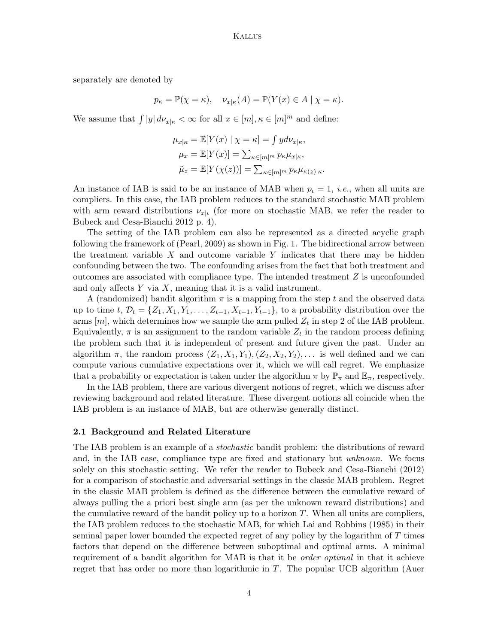separately are denoted by

$$
p_{\kappa} = \mathbb{P}(\chi = \kappa), \quad \nu_{x|\kappa}(A) = \mathbb{P}(Y(x) \in A \mid \chi = \kappa).
$$

We assume that  $\int |y| d\nu_{x|\kappa} < \infty$  for all  $x \in [m], \kappa \in [m]^m$  and define:

$$
\mu_{x|\kappa} = \mathbb{E}[Y(x) | \chi = \kappa] = \int y d\nu_{x|\kappa},
$$

$$
\mu_x = \mathbb{E}[Y(x)] = \sum_{\kappa \in [m]^m} p_{\kappa} \mu_{x|\kappa},
$$

$$
\tilde{\mu}_z = \mathbb{E}[Y(\chi(z))] = \sum_{\kappa \in [m]^m} p_{\kappa} \mu_{\kappa(z)|\kappa}.
$$

An instance of IAB is said to be an instance of MAB when  $p_i = 1$ , *i.e.*, when all units are compliers. In this case, the IAB problem reduces to the standard stochastic MAB problem with arm reward distributions  $\nu_{x|\iota}$  (for more on stochastic MAB, we refer the reader to [Bubeck and Cesa-Bianchi 2012](#page-16-1) p. 4).

The setting of the IAB problem can also be represented as a directed acyclic graph following the framework of [\(Pearl, 2009\)](#page-17-2) as shown in Fig. [1.](#page-2-1) The bidirectional arrow between the treatment variable  $X$  and outcome variable  $Y$  indicates that there may be hidden confounding between the two. The confounding arises from the fact that both treatment and outcomes are associated with compliance type. The intended treatment Z is unconfounded and only affects  $Y$  via  $X$ , meaning that it is a valid instrument.

A (randomized) bandit algorithm  $\pi$  is a mapping from the step t and the observed data up to time t,  $\mathcal{D}_t = \{Z_1, X_1, Y_1, \ldots, Z_{t-1}, X_{t-1}, Y_{t-1}\}$ , to a probability distribution over the arms  $[m]$ , which determines how we sample the arm pulled  $Z_t$  in step 2 of the IAB problem. Equivalently,  $\pi$  is an assignment to the random variable  $Z_t$  in the random process defining the problem such that it is independent of present and future given the past. Under an algorithm  $\pi$ , the random process  $(Z_1, X_1, Y_1), (Z_2, X_2, Y_2), \ldots$  is well defined and we can compute various cumulative expectations over it, which we will call regret. We emphasize that a probability or expectation is taken under the algorithm  $\pi$  by  $\mathbb{P}_{\pi}$  and  $\mathbb{E}_{\pi}$ , respectively.

In the IAB problem, there are various divergent notions of regret, which we discuss after reviewing background and related literature. These divergent notions all coincide when the IAB problem is an instance of MAB, but are otherwise generally distinct.

#### 2.1 Background and Related Literature

The IAB problem is an example of a stochastic bandit problem: the distributions of reward and, in the IAB case, compliance type are fixed and stationary but unknown. We focus solely on this stochastic setting. We refer the reader to [Bubeck and Cesa-Bianchi \(2012\)](#page-16-1) for a comparison of stochastic and adversarial settings in the classic MAB problem. Regret in the classic MAB problem is defined as the difference between the cumulative reward of always pulling the a priori best single arm (as per the unknown reward distributions) and the cumulative reward of the bandit policy up to a horizon  $T$ . When all units are compliers, the IAB problem reduces to the stochastic MAB, for which [Lai and Robbins \(1985\)](#page-16-2) in their seminal paper lower bounded the expected regret of any policy by the logarithm of T times factors that depend on the difference between suboptimal and optimal arms. A minimal requirement of a bandit algorithm for MAB is that it be *order optimal* in that it achieve regret that has order no more than logarithmic in T. The popular UCB algorithm [\(Auer](#page-16-3)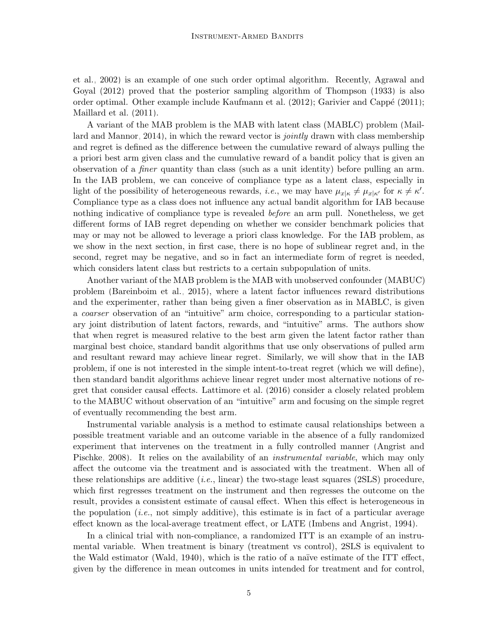[et al., 2002\)](#page-16-3) is an example of one such order optimal algorithm. Recently, [Agrawal and](#page-16-4) [Goyal \(2012\)](#page-16-4) proved that the posterior sampling algorithm of [Thompson \(1933\)](#page-17-3) is also order optimal. Other example include Kaufmann et al.  $(2012)$ ; Garivier and Cappé  $(2011)$ ; [Maillard et al. \(2011\)](#page-17-4).

A variant of the MAB problem is the MAB with latent class (MABLC) problem [\(Mail](#page-17-5)[lard and Mannor, 2014\)](#page-17-5), in which the reward vector is *jointly* drawn with class membership and regret is defined as the difference between the cumulative reward of always pulling the a priori best arm given class and the cumulative reward of a bandit policy that is given an observation of a finer quantity than class (such as a unit identity) before pulling an arm. In the IAB problem, we can conceive of compliance type as a latent class, especially in light of the possibility of heterogeneous rewards, *i.e.*, we may have  $\mu_{x|\kappa} \neq \mu_{x|\kappa'}$  for  $\kappa \neq \kappa'$ . Compliance type as a class does not influence any actual bandit algorithm for IAB because nothing indicative of compliance type is revealed *before* an arm pull. Nonetheless, we get different forms of IAB regret depending on whether we consider benchmark policies that may or may not be allowed to leverage a priori class knowledge. For the IAB problem, as we show in the next section, in first case, there is no hope of sublinear regret and, in the second, regret may be negative, and so in fact an intermediate form of regret is needed, which considers latent class but restricts to a certain subpopulation of units.

Another variant of the MAB problem is the MAB with unobserved confounder (MABUC) problem [\(Bareinboim et al., 2015\)](#page-16-7), where a latent factor influences reward distributions and the experimenter, rather than being given a finer observation as in MABLC, is given a coarser observation of an "intuitive" arm choice, corresponding to a particular stationary joint distribution of latent factors, rewards, and "intuitive" arms. The authors show that when regret is measured relative to the best arm given the latent factor rather than marginal best choice, standard bandit algorithms that use only observations of pulled arm and resultant reward may achieve linear regret. Similarly, we will show that in the IAB problem, if one is not interested in the simple intent-to-treat regret (which we will define), then standard bandit algorithms achieve linear regret under most alternative notions of regret that consider causal effects. [Lattimore et al. \(2016\)](#page-17-6) consider a closely related problem to the MABUC without observation of an "intuitive" arm and focusing on the simple regret of eventually recommending the best arm.

Instrumental variable analysis is a method to estimate causal relationships between a possible treatment variable and an outcome variable in the absence of a fully randomized experiment that intervenes on the treatment in a fully controlled manner [\(Angrist and](#page-16-0) [Pischke, 2008\)](#page-16-0). It relies on the availability of an *instrumental variable*, which may only affect the outcome via the treatment and is associated with the treatment. When all of these relationships are additive  $(i.e., linear)$  the two-stage least squares  $(2SLS)$  procedure, which first regresses treatment on the instrument and then regresses the outcome on the result, provides a consistent estimate of causal effect. When this effect is heterogeneous in the population (*i.e.*, not simply additive), this estimate is in fact of a particular average effect known as the local-average treatment effect, or LATE [\(Imbens and Angrist, 1994\)](#page-16-8).

In a clinical trial with non-compliance, a randomized ITT is an example of an instrumental variable. When treatment is binary (treatment vs control), 2SLS is equivalent to the Wald estimator [\(Wald, 1940\)](#page-17-7), which is the ratio of a naïve estimate of the ITT effect, given by the difference in mean outcomes in units intended for treatment and for control,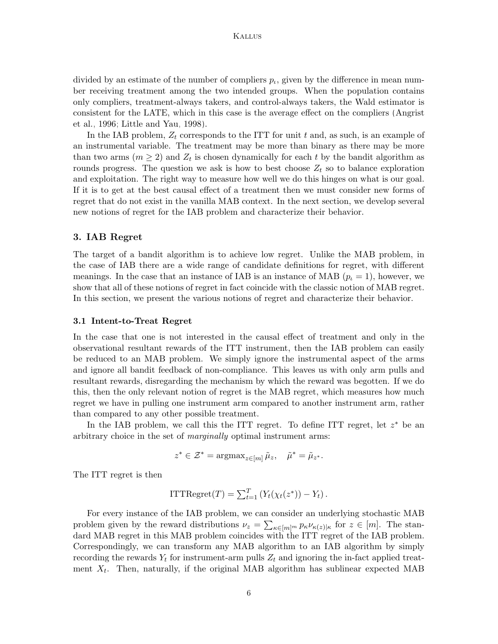divided by an estimate of the number of compliers  $p_t$ , given by the difference in mean number receiving treatment among the two intended groups. When the population contains only compliers, treatment-always takers, and control-always takers, the Wald estimator is consistent for the LATE, which in this case is the average effect on the compliers [\(Angrist](#page-16-9) [et al., 1996;](#page-16-9) [Little and Yau, 1998\)](#page-17-8).

In the IAB problem,  $Z_t$  corresponds to the ITT for unit t and, as such, is an example of an instrumental variable. The treatment may be more than binary as there may be more than two arms  $(m \geq 2)$  and  $Z_t$  is chosen dynamically for each t by the bandit algorithm as rounds progress. The question we ask is how to best choose  $Z_t$  so to balance exploration and exploitation. The right way to measure how well we do this hinges on what is our goal. If it is to get at the best causal effect of a treatment then we must consider new forms of regret that do not exist in the vanilla MAB context. In the next section, we develop several new notions of regret for the IAB problem and characterize their behavior.

# 3. IAB Regret

The target of a bandit algorithm is to achieve low regret. Unlike the MAB problem, in the case of IAB there are a wide range of candidate definitions for regret, with different meanings. In the case that an instance of IAB is an instance of MAB  $(p_{\iota} = 1)$ , however, we show that all of these notions of regret in fact coincide with the classic notion of MAB regret. In this section, we present the various notions of regret and characterize their behavior.

#### 3.1 Intent-to-Treat Regret

In the case that one is not interested in the causal effect of treatment and only in the observational resultant rewards of the ITT instrument, then the IAB problem can easily be reduced to an MAB problem. We simply ignore the instrumental aspect of the arms and ignore all bandit feedback of non-compliance. This leaves us with only arm pulls and resultant rewards, disregarding the mechanism by which the reward was begotten. If we do this, then the only relevant notion of regret is the MAB regret, which measures how much regret we have in pulling one instrument arm compared to another instrument arm, rather than compared to any other possible treatment.

In the IAB problem, we call this the ITT regret. To define ITT regret, let  $z^*$  be an arbitrary choice in the set of *marginally* optimal instrument arms:

$$
z^* \in \mathcal{Z}^* = \operatorname{argmax}_{z \in [m]} \tilde{\mu}_z, \quad \tilde{\mu}^* = \tilde{\mu}_{z^*}.
$$

The ITT regret is then

ITTRegret
$$
(T)
$$
 =  $\sum_{t=1}^{T} (Y_t(\chi_t(z^*)) - Y_t)$ .

For every instance of the IAB problem, we can consider an underlying stochastic MAB problem given by the reward distributions  $\nu_z = \sum_{\kappa \in [m]^m} p_{\kappa} \nu_{\kappa(z)|\kappa}$  for  $z \in [m]$ . The standard MAB regret in this MAB problem coincides with the ITT regret of the IAB problem. Correspondingly, we can transform any MAB algorithm to an IAB algorithm by simply recording the rewards  $Y_t$  for instrument-arm pulls  $Z_t$  and ignoring the in-fact applied treatment  $X_t$ . Then, naturally, if the original MAB algorithm has sublinear expected MAB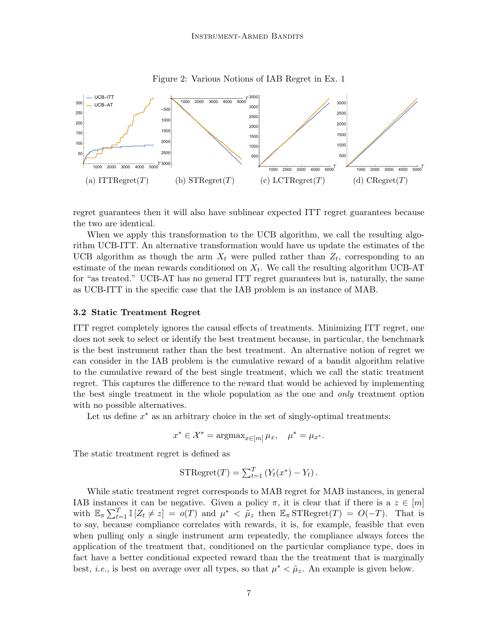<span id="page-6-1"></span>

Figure 2: Various Notions of IAB Regret in Ex. [1](#page-6-0)

regret guarantees then it will also have sublinear expected ITT regret guarantees because the two are identical.

When we apply this transformation to the UCB algorithm, we call the resulting algorithm UCB-ITT. An alternative transformation would have us update the estimates of the UCB algorithm as though the arm  $X_t$  were pulled rather than  $Z_t$ , corresponding to an estimate of the mean rewards conditioned on  $X_t$ . We call the resulting algorithm UCB-AT for "as treated." UCB-AT has no general ITT regret guarantees but is, naturally, the same as UCB-ITT in the specific case that the IAB problem is an instance of MAB.

#### 3.2 Static Treatment Regret

ITT regret completely ignores the causal effects of treatments. Minimizing ITT regret, one does not seek to select or identify the best treatment because, in particular, the benchmark is the best instrument rather than the best treatment. An alternative notion of regret we can consider in the IAB problem is the cumulative reward of a bandit algorithm relative to the cumulative reward of the best single treatment, which we call the static treatment regret. This captures the difference to the reward that would be achieved by implementing the best single treatment in the whole population as the one and *only* treatment option with no possible alternatives.

Let us define  $x^*$  as an arbitrary choice in the set of singly-optimal treatments:

$$
x^* \in \mathcal{X}^* = \operatorname{argmax}_{x \in [m]} \mu_x, \quad \mu^* = \mu_{x^*}.
$$

The static treatment regret is defined as

$$
\text{STRegret}(T) = \sum_{t=1}^{T} \left( Y_t(x^*) - Y_t \right).
$$

<span id="page-6-0"></span>While static treatment regret corresponds to MAB regret for MAB instances, in general IAB instances it can be negative. Given a policy  $\pi$ , it is clear that if there is a  $z \in [m]$ with  $\mathbb{E}_{\pi} \sum_{t=1}^{T} \mathbb{I} [Z_t \neq z] = o(T)$  and  $\mu^* < \tilde{\mu}_z$  then  $\mathbb{E}_{\pi} \text{STRegret}(T) = O(-T)$ . That is to say, because compliance correlates with rewards, it is, for example, feasible that even when pulling only a single instrument arm repeatedly, the compliance always forces the application of the treatment that, conditioned on the particular compliance type, does in fact have a better conditional expected reward than the the treatment that is marginally best, *i.e.*, is best on average over all types, so that  $\mu^* < \tilde{\mu}_z$ . An example is given below.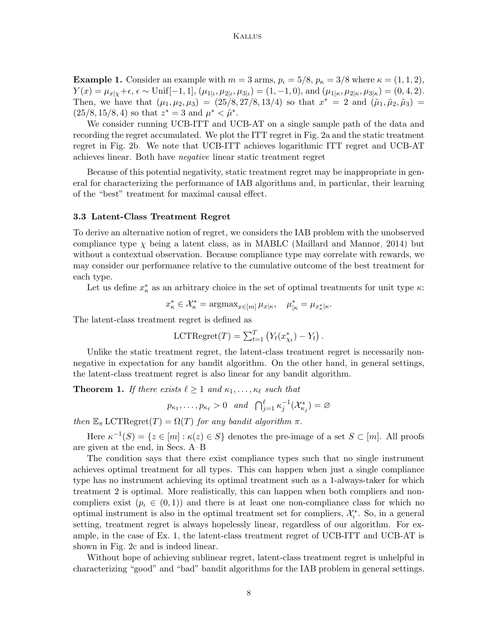**Example 1.** Consider an example with  $m = 3$  arms,  $p_t = 5/8$ ,  $p_{\kappa} = 3/8$  where  $\kappa = (1, 1, 2)$ ,  $Y(x) = \mu_{x|\chi} + \epsilon, \, \epsilon \sim \text{Unif}[-1, 1], (\mu_{1|\iota}, \mu_{2|\iota}, \mu_{3|\iota}) = (1, -1, 0), \text{ and } (\mu_{1|\kappa}, \mu_{2|\kappa}, \mu_{3|\kappa}) = (0, 4, 2).$ Then, we have that  $(\mu_1, \mu_2, \mu_3) = (25/8, 27/8, 13/4)$  so that  $x^* = 2$  and  $(\tilde{\mu}_1, \tilde{\mu}_2, \tilde{\mu}_3) =$  $(25/8, 15/8, 4)$  so that  $z^* = 3$  and  $\mu^* < \tilde{\mu}^*$ .

We consider running UCB-ITT and UCB-AT on a single sample path of the data and recording the regret accumulated. We plot the ITT regret in Fig. [2a](#page-6-1) and the static treatment regret in Fig. [2b.](#page-6-1) We note that UCB-ITT achieves logarithmic ITT regret and UCB-AT achieves linear. Both have negative linear static treatment regret

Because of this potential negativity, static treatment regret may be inappropriate in general for characterizing the performance of IAB algorithms and, in particular, their learning of the "best" treatment for maximal causal effect.

#### 3.3 Latent-Class Treatment Regret

To derive an alternative notion of regret, we considers the IAB problem with the unobserved compliance type  $\chi$  being a latent class, as in MABLC [\(Maillard and Mannor, 2014\)](#page-17-5) but without a contextual observation. Because compliance type may correlate with rewards, we may consider our performance relative to the cumulative outcome of the best treatment for each type.

Let us define  $x^*_{\kappa}$  as an arbitrary choice in the set of optimal treatments for unit type  $\kappa$ :

$$
x_{\kappa}^* \in \mathcal{X}_{\kappa}^* = \operatorname{argmax}_{x \in [m]} \mu_{x|\kappa}, \quad \mu_{|\kappa}^* = \mu_{x_{\kappa}^*|\kappa}.
$$

The latent-class treatment regret is defined as

$$
LCTRegret(T) = \sum_{t=1}^{T} (Y_t(x_{\chi_t}^*) - Y_t).
$$

Unlike the static treatment regret, the latent-class treatment regret is necessarily nonnegative in expectation for any bandit algorithm. On the other hand, in general settings, the latent-class treatment regret is also linear for any bandit algorithm.

<span id="page-7-0"></span>**Theorem 1.** If there exists  $\ell \geq 1$  and  $\kappa_1, \ldots, \kappa_{\ell}$  such that

$$
p_{\kappa_1}, \ldots, p_{\kappa_\ell} > 0
$$
 and  $\bigcap_{j=1}^\ell \kappa_j^{-1}(\mathcal{X}_{\kappa_j}^*) = \emptyset$ 

then  $\mathbb{E}_{\pi}$  LCTRegret $(T) = \Omega(T)$  for any bandit algorithm  $\pi$ .

Here  $\kappa^{-1}(S) = \{z \in [m] : \kappa(z) \in S\}$  denotes the pre-image of a set  $S \subset [m]$ . All proofs are given at the end, in Secs. [A–](#page-0-0)[B.](#page-1-0)

The condition says that there exist compliance types such that no single instrument achieves optimal treatment for all types. This can happen when just a single compliance type has no instrument achieving its optimal treatment such as a 1-always-taker for which treatment 2 is optimal. More realistically, this can happen when both compliers and noncompliers exist  $(p_{\iota} \in (0,1))$  and there is at least one non-compliance class for which no optimal instrument is also in the optimal treatment set for compliers,  $\mathcal{X}_{\iota}^*$ . So, in a general setting, treatment regret is always hopelessly linear, regardless of our algorithm. For example, in the case of Ex. [1,](#page-6-0) the latent-class treatment regret of UCB-ITT and UCB-AT is shown in Fig. [2c](#page-6-1) and is indeed linear.

Without hope of achieving sublinear regret, latent-class treatment regret is unhelpful in characterizing "good" and "bad" bandit algorithms for the IAB problem in general settings.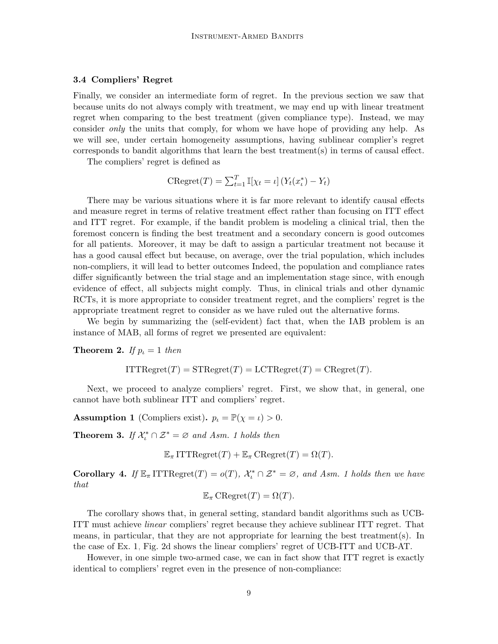# 3.4 Compliers' Regret

Finally, we consider an intermediate form of regret. In the previous section we saw that because units do not always comply with treatment, we may end up with linear treatment regret when comparing to the best treatment (given compliance type). Instead, we may consider only the units that comply, for whom we have hope of providing any help. As we will see, under certain homogeneity assumptions, having sublinear complier's regret corresponds to bandit algorithms that learn the best treatment(s) in terms of causal effect.

The compliers' regret is defined as

$$
\text{CRegret}(T) = \sum_{t=1}^{T} \mathbb{I}[\chi_t = \iota] \left( Y_t(x_t^*) - Y_t \right)
$$

There may be various situations where it is far more relevant to identify causal effects and measure regret in terms of relative treatment effect rather than focusing on ITT effect and ITT regret. For example, if the bandit problem is modeling a clinical trial, then the foremost concern is finding the best treatment and a secondary concern is good outcomes for all patients. Moreover, it may be daft to assign a particular treatment not because it has a good causal effect but because, on average, over the trial population, which includes non-compliers, it will lead to better outcomes Indeed, the population and compliance rates differ significantly between the trial stage and an implementation stage since, with enough evidence of effect, all subjects might comply. Thus, in clinical trials and other dynamic RCTs, it is more appropriate to consider treatment regret, and the compliers' regret is the appropriate treatment regret to consider as we have ruled out the alternative forms.

We begin by summarizing the (self-evident) fact that, when the IAB problem is an instance of MAB, all forms of regret we presented are equivalent:

**Theorem 2.** If  $p_t = 1$  then

$$
ITTRegret(T) = STRegret(T) = LCTRegret(T) = CRegret(T).
$$

Next, we proceed to analyze compliers' regret. First, we show that, in general, one cannot have both sublinear ITT and compliers' regret.

<span id="page-8-0"></span>**Assumption 1** (Compliers exist).  $p_t = \mathbb{P}(\chi = t) > 0$ .

<span id="page-8-1"></span>**Theorem 3.** If  $\mathcal{X}_t^* \cap \mathcal{Z}^* = \emptyset$  and Asm. [1](#page-8-0) holds then

 $\mathbb{E}_{\pi} \text{ITTRegret}(T) + \mathbb{E}_{\pi} \text{CRegret}(T) = \Omega(T).$ 

**Corollary 4.** If  $\mathbb{E}_{\pi}$  ITTRegret $(T) = o(T)$ ,  $\mathcal{X}_{\iota}^* \cap \mathcal{Z}^* = \emptyset$ , and Asm. [1](#page-8-0) holds then we have that

$$
\mathbb{E}_{\pi}\,\mathrm{CRegret}(T) = \Omega(T).
$$

The corollary shows that, in general setting, standard bandit algorithms such as UCB-ITT must achieve linear compliers' regret because they achieve sublinear ITT regret. That means, in particular, that they are not appropriate for learning the best treatment(s). In the case of Ex. [1,](#page-6-0) Fig. [2d](#page-6-1) shows the linear compliers' regret of UCB-ITT and UCB-AT.

<span id="page-8-2"></span>However, in one simple two-armed case, we can in fact show that ITT regret is exactly identical to compliers' regret even in the presence of non-compliance: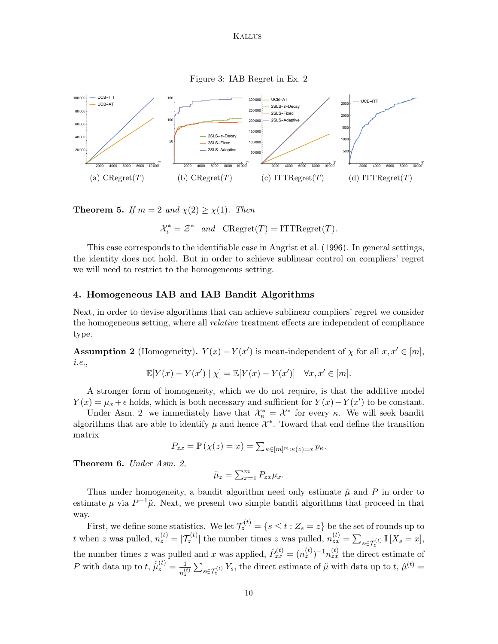Figure 3: IAB Regret in Ex. [2](#page-11-0)

<span id="page-9-2"></span>

**Theorem 5.** If  $m = 2$  and  $\chi(2) \geq \chi(1)$ . Then

$$
\mathcal{X}_{\iota}^* = \mathcal{Z}^* \quad and \quad \text{CRegret}(T) = \text{ITTRegret}(T).
$$

This case corresponds to the identifiable case in [Angrist et al. \(1996\)](#page-16-9). In general settings, the identity does not hold. But in order to achieve sublinear control on compliers' regret we will need to restrict to the homogeneous setting.

# 4. Homogeneous IAB and IAB Bandit Algorithms

Next, in order to devise algorithms that can achieve sublinear compliers' regret we consider the homogeneous setting, where all relative treatment effects are independent of compliance type.

<span id="page-9-0"></span>**Assumption 2** (Homogeneity).  $Y(x) - Y(x')$  is mean-independent of  $\chi$  for all  $x, x' \in [m]$ , i.e.,

$$
\mathbb{E}[Y(x) - Y(x') | \chi] = \mathbb{E}[Y(x) - Y(x')] \quad \forall x, x' \in [m].
$$

A stronger form of homogeneity, which we do not require, is that the additive model  $Y(x) = \mu_x + \epsilon$  holds, which is both necessary and sufficient for  $Y(x) - Y(x')$  to be constant.

Under Asm. [2,](#page-9-0) we immediately have that  $\mathcal{X}_{\kappa}^* = \mathcal{X}^*$  for every  $\kappa$ . We will seek bandit algorithms that are able to identify  $\mu$  and hence  $\mathcal{X}^*$ . Toward that end define the transition matrix

$$
P_{zx} = \mathbb{P}\left(\chi(z) = x\right) = \sum_{\kappa \in [m]^m : \kappa(z) = x} p_{\kappa}.
$$

<span id="page-9-1"></span>Theorem 6. Under Asm. [2,](#page-9-0)

$$
\tilde{\mu}_z = \sum_{x=1}^m P_{zx} \mu_x.
$$

Thus under homogeneity, a bandit algorithm need only estimate  $\tilde{\mu}$  and P in order to estimate  $\mu$  via  $P^{-1}\tilde{\mu}$ . Next, we present two simple bandit algorithms that proceed in that way.

First, we define some statistics. We let  $\mathcal{T}_z^{(t)} = \{s \le t : Z_s = z\}$  be the set of rounds up to t when z was pulled,  $n_z^{(t)} = |\mathcal{T}_z^{(t)}|$  the number times z was pulled,  $n_{zx}^{(t)} = \sum_{s \in \mathcal{T}_z^{(t)}} \mathbb{I}[X_s = x]$ , the number times z was pulled and x was applied,  $\hat{P}_{zx}^{(t)} = (n_z^{(t)})^{-1} n_{zx}^{(t)}$  the direct estimate of P with data up to  $t, \hat{\tilde{\mu}}_z^{(t)} = \frac{1}{\sqrt{2}}$  $\frac{1}{n_z^{(t)}}\sum_{s\in\mathcal{T}_z^{(t)}}Y_s$ , the direct estimate of  $\tilde{\mu}$  with data up to  $t, \hat{\mu}^{(t)}$  =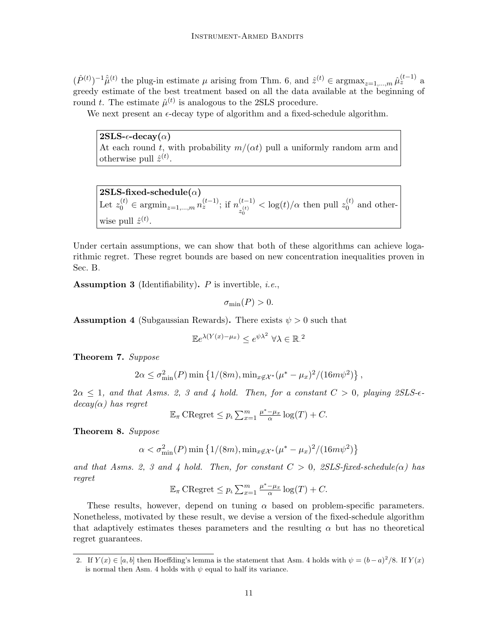$(\hat{P}^{(t)})^{-1}\hat{\mu}^{(t)}$  the plug-in estimate  $\mu$  arising from Thm. [6,](#page-9-1) and  $\hat{z}^{(t)} \in \operatorname{argmax}_{z=1,\dots,m} \hat{\mu}_z^{(t-1)}$  a greedy estimate of the best treatment based on all the data available at the beginning of round t. The estimate  $\hat{\mu}^{(t)}$  is analogous to the 2SLS procedure.

We next present an  $\epsilon$ -decay type of algorithm and a fixed-schedule algorithm.

 $2SLS-\epsilon-decay(\alpha)$ At each round t, with probability  $m/(\alpha t)$  pull a uniformly random arm and otherwise pull  $\hat{z}^{(t)}$ .

 $2SLS$ -fixed-schedule $(\alpha)$ Let  $z_0^{(t)} \in \mathop{\rm argmin}_{z=1,\dots,m} n_z^{(t-1)}$ ; if  $n_{z^{(t)}}^{(t-1)}$  $z_0^{(t)}$  $<$  log(t)/ $\alpha$  then pull  $z_0^{(t)}$  $\int_0^{(\iota)}$  and otherwise pull  $\hat{z}^{(t)}$ .

Under certain assumptions, we can show that both of these algorithms can achieve logarithmic regret. These regret bounds are based on new concentration inequalities proven in Sec. [B.](#page-1-0)

<span id="page-10-1"></span>**Assumption 3** (Identifiability).  $P$  is invertible, *i.e.*,

$$
\sigma_{\min}(P) > 0.
$$

<span id="page-10-2"></span>**Assumption 4** (Subgaussian Rewards). There exists  $\psi > 0$  such that

$$
\mathbb{E}e^{\lambda(Y(x)-\mu_x)} \le e^{\psi\lambda^2} \ \forall \lambda \in \mathbb{R}^2
$$

<span id="page-10-4"></span>Theorem 7. Suppose

$$
2\alpha \le \sigma_{\min}^2(P) \min\left\{1/(8m), \min_{x \notin \mathcal{X}^*} (\mu^* - \mu_x)^2/(16m\psi^2)\right\}
$$

,

 $2\alpha \leq 1$ , and that Asms. [2,](#page-9-0) [3](#page-10-1) and [4](#page-10-2) hold. Then, for a constant  $C > 0$ , playing 2SLS- $\epsilon$  $decay(\alpha)$  has regret

$$
\mathbb{E}_{\pi} \,\mathrm{CRegret} \leq p_t \sum_{x=1}^m \frac{\mu^* - \mu_x}{\alpha} \log(T) + C.
$$

<span id="page-10-3"></span>Theorem 8. Suppose

$$
\alpha < \sigma_{\min}^2(P) \min \left\{ 1/(8m), \min_{x \notin \mathcal{X}^*} (\mu^* - \mu_x)^2 / (16m\psi^2) \right\}
$$

and that Asms. [2,](#page-9-0) [3](#page-10-1) and [4](#page-10-2) hold. Then, for constant  $C > 0$ , 2SLS-fixed-schedule( $\alpha$ ) has regret

$$
\mathbb{E}_{\pi} \,\mathrm{CRegret} \leq p_t \, \sum_{x=1}^m \frac{\mu^* - \mu_x}{\alpha} \log(T) + C.
$$

These results, however, depend on tuning  $\alpha$  based on problem-specific parameters. Nonetheless, motivated by these result, we devise a version of the fixed-schedule algorithm that adaptively estimates theses parameters and the resulting  $\alpha$  but has no theoretical regret guarantees.

<span id="page-10-0"></span><sup>2.</sup> If  $Y(x) \in [a, b]$  then Hoeffding's lemma is the statement that Asm. [4](#page-10-2) holds with  $\psi = (b-a)^2/8$ . If  $Y(x)$ is normal then Asm. [4](#page-10-2) holds with  $\psi$  equal to half its variance.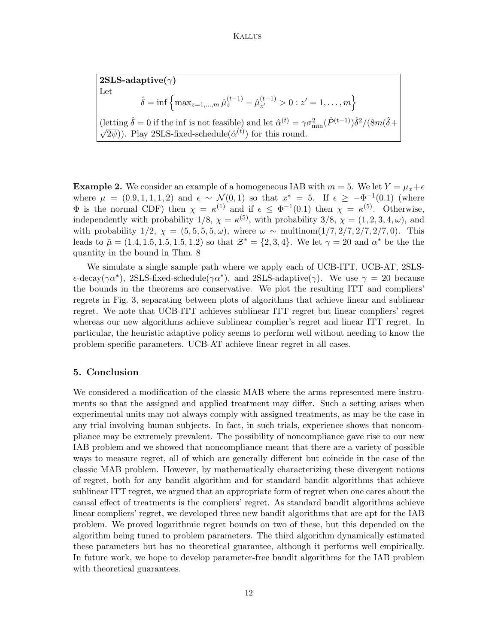$2SLS$ -adaptive( $\gamma$ ) Let  $\hat{\delta} = \inf \left\{ \max_{z=1,...,m} \hat{\mu}_z^{(t-1)} - \hat{\mu}_{z'}^{(t-1)} \right\}$  $\left\{\begin{matrix}(t-1) \\ z'\end{matrix}\right\} > 0 : z' = 1, \ldots, m\right\}$ (letting  $\hat{\delta} = 0$  if the inf is not feasible) and let  $\hat{\alpha}^{(t)} = \gamma \sigma_{\min}^2 (\hat{P}^{(t-1)}) \hat{\delta}^2 / (8m(\hat{\delta} + \sqrt{\hat{\delta}^{(t)}}))$  $(\overline{2\psi})$ ). Play 2SLS-fixed-schedule $(\hat{\alpha}^{(t)})$  for this round.

<span id="page-11-0"></span>**Example 2.** We consider an example of a homogeneous IAB with  $m = 5$ . We let  $Y = \mu_x + \epsilon$ where  $\mu = (0.9, 1, 1, 1, 2)$  and  $\epsilon \sim \mathcal{N}(0, 1)$  so that  $x^* = 5$ . If  $\epsilon \geq -\Phi^{-1}(0.1)$  (where  $\Phi$  is the normal CDF) then  $\chi = \kappa^{(1)}$  and if  $\epsilon \leq \Phi^{-1}(0.1)$  then  $\chi = \kappa^{(5)}$ . Otherwise, independently with probability  $1/8$ ,  $\chi = \kappa^{(5)}$ , with probability  $3/8$ ,  $\chi = (1, 2, 3, 4, \omega)$ , and with probability  $1/2$ ,  $\chi = (5, 5, 5, 5, \omega)$ , where  $\omega \sim \text{multinom}(1/7, 2/7, 2/7, 2/7, 0)$ . This leads to  $\tilde{\mu} = (1.4, 1.5, 1.5, 1.5, 1.2)$  so that  $\mathcal{Z}^* = \{2, 3, 4\}$ . We let  $\gamma = 20$  and  $\alpha^*$  be the the quantity in the bound in Thm. [8.](#page-10-3)

We simulate a single sample path where we apply each of UCB-ITT, UCB-AT, 2SLS-  $\epsilon$ -decay( $\gamma \alpha^*$ ), 2SLS-fixed-schedule( $\gamma \alpha^*$ ), and 2SLS-adaptive( $\gamma$ ). We use  $\gamma = 20$  because the bounds in the theorems are conservative. We plot the resulting ITT and compliers' regrets in Fig. [3,](#page-9-2) separating between plots of algorithms that achieve linear and sublinear regret. We note that UCB-ITT achieves sublinear ITT regret but linear compliers' regret whereas our new algorithms achieve sublinear complier's regret and linear ITT regret. In particular, the heuristic adaptive policy seems to perform well without needing to know the problem-specific parameters. UCB-AT achieve linear regret in all cases.

# 5. Conclusion

We considered a modification of the classic MAB where the arms represented mere instruments so that the assigned and applied treatment may differ. Such a setting arises when experimental units may not always comply with assigned treatments, as may be the case in any trial involving human subjects. In fact, in such trials, experience shows that noncompliance may be extremely prevalent. The possibility of noncompliance gave rise to our new IAB problem and we showed that noncompliance meant that there are a variety of possible ways to measure regret, all of which are generally different but coincide in the case of the classic MAB problem. However, by mathematically characterizing these divergent notions of regret, both for any bandit algorithm and for standard bandit algorithms that achieve sublinear ITT regret, we argued that an appropriate form of regret when one cares about the causal effect of treatments is the compliers' regret. As standard bandit algorithms achieve linear compliers' regret, we developed three new bandit algorithms that are apt for the IAB problem. We proved logarithmic regret bounds on two of these, but this depended on the algorithm being tuned to problem parameters. The third algorithm dynamically estimated these parameters but has no theoretical guarantee, although it performs well empirically. In future work, we hope to develop parameter-free bandit algorithms for the IAB problem with theoretical guarantees.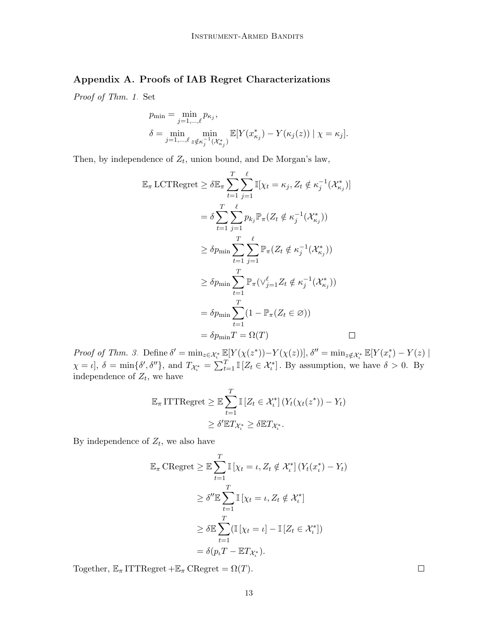# Appendix A. Proofs of IAB Regret Characterizations

Proof of Thm. [1.](#page-7-0) Set

$$
p_{\min} = \min_{j=1,\dots,\ell} p_{\kappa_j},
$$
  
\n
$$
\delta = \min_{j=1,\dots,\ell} \min_{z \notin \kappa_j^{-1}(\mathcal{X}_{\kappa_j}^*)} \mathbb{E}[Y(x_{\kappa_j}) - Y(\kappa_j(z)) | \chi = \kappa_j].
$$

Then, by independence of  $Z_t$ , union bound, and De Morgan's law,

$$
\mathbb{E}_{\pi} \text{LCTRegret} \geq \delta \mathbb{E}_{\pi} \sum_{t=1}^{T} \sum_{j=1}^{\ell} \mathbb{I}[\chi_t = \kappa_j, Z_t \notin \kappa_j^{-1}(\mathcal{X}_{\kappa_j}^*)]
$$
\n
$$
= \delta \sum_{t=1}^{T} \sum_{j=1}^{\ell} p_{k_j} \mathbb{P}_{\pi}(Z_t \notin \kappa_j^{-1}(\mathcal{X}_{\kappa_j}^*))
$$
\n
$$
\geq \delta p_{\min} \sum_{t=1}^{T} \sum_{j=1}^{\ell} \mathbb{P}_{\pi}(Z_t \notin \kappa_j^{-1}(\mathcal{X}_{\kappa_j}^*))
$$
\n
$$
\geq \delta p_{\min} \sum_{t=1}^{T} \mathbb{P}_{\pi}(\vee_{j=1}^{\ell} Z_t \notin \kappa_j^{-1}(\mathcal{X}_{\kappa_j}^*))
$$
\n
$$
= \delta p_{\min} \sum_{t=1}^{T} (1 - \mathbb{P}_{\pi}(Z_t \in \varnothing))
$$
\n
$$
= \delta p_{\min} T = \Omega(T) \qquad \Box
$$

Proof of Thm. [3.](#page-8-1) Define  $\delta' = \min_{z \in \mathcal{X}_{t}^{*}} \mathbb{E}[Y(\chi(z^{*})) - Y(\chi(z))]$ ,  $\delta'' = \min_{z \notin \mathcal{X}_{t}^{*}} \mathbb{E}[Y(x_{t}^{*}) - Y(z)]$  $\chi = \iota, \delta = \min\{\delta', \delta''\},\$ and  $T_{\mathcal{X}_{\iota}^*} = \sum_{t=1}^T \mathbb{I}\left[Z_t \in \mathcal{X}_{\iota}^*\right].$  By assumption, we have  $\delta > 0$ . By independence of  $Z_t$ , we have

$$
\mathbb{E}_{\pi} \text{ITTRegret} \geq \mathbb{E} \sum_{t=1}^{T} \mathbb{I} \left[ Z_t \in \mathcal{X}_t^* \right] \left( Y_t(\chi_t(z^*)) - Y_t \right)
$$
  

$$
\geq \delta' \mathbb{E} T_{\mathcal{X}_t^*} \geq \delta \mathbb{E} T_{\mathcal{X}_t^*}.
$$

By independence of  $Z_t$ , we also have

$$
\mathbb{E}_{\pi} \text{CRegret} \geq \mathbb{E} \sum_{t=1}^{T} \mathbb{I} \left[ \chi_t = \iota, Z_t \notin \mathcal{X}_{\iota}^* \right] \left( Y_t(x_{\iota}^*) - Y_t \right)
$$
\n
$$
\geq \delta'' \mathbb{E} \sum_{t=1}^{T} \mathbb{I} \left[ \chi_t = \iota, Z_t \notin \mathcal{X}_{\iota}^* \right]
$$
\n
$$
\geq \delta \mathbb{E} \sum_{t=1}^{T} (\mathbb{I} \left[ \chi_t = \iota \right] - \mathbb{I} \left[ Z_t \in \mathcal{X}_{\iota}^* \right])
$$
\n
$$
= \delta(p_{\iota} T - \mathbb{E} T_{\mathcal{X}_{\iota}^*}).
$$

Together,  $\mathbb{E}_{\pi}$  ITTRegret + $\mathbb{E}_{\pi}$  CRegret =  $\Omega(T)$ .

 $\Box$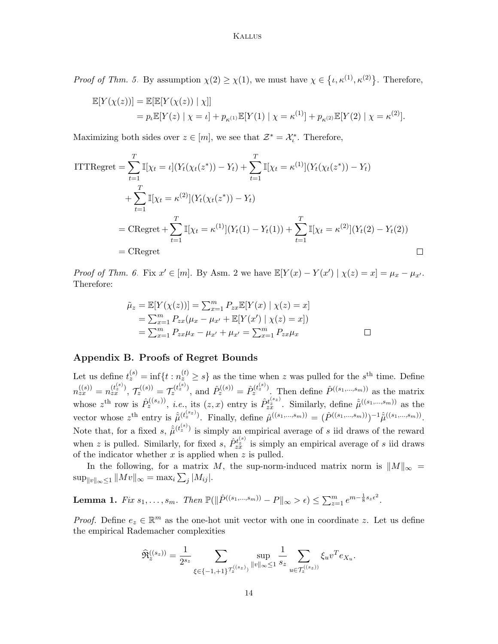*Proof of Thm. [5.](#page-8-2)* By assumption  $\chi(2) \geq \chi(1)$ , we must have  $\chi \in \{\iota, \kappa^{(1)}, \kappa^{(2)}\}\.$  Therefore,

$$
\mathbb{E}[Y(\chi(z))] = \mathbb{E}[\mathbb{E}[Y(\chi(z)) | \chi]]
$$
  
=  $p_{\iota} \mathbb{E}[Y(z) | \chi = \iota] + p_{\kappa^{(1)}} \mathbb{E}[Y(1) | \chi = \kappa^{(1)}] + p_{\kappa^{(2)}} \mathbb{E}[Y(2) | \chi = \kappa^{(2)}].$ 

Maximizing both sides over  $z \in [m]$ , we see that  $\mathcal{Z}^* = \mathcal{X}_i^*$ . Therefore,

$$
\begin{aligned}\n&\text{ITTRegret} = \sum_{t=1}^{T} \mathbb{I}[\chi_t = \iota](Y_t(\chi_t(z^*)) - Y_t) + \sum_{t=1}^{T} \mathbb{I}[\chi_t = \kappa^{(1)}](Y_t(\chi_t(z^*)) - Y_t) \\
&\quad + \sum_{t=1}^{T} \mathbb{I}[\chi_t = \kappa^{(2)}](Y_t(\chi_t(z^*)) - Y_t) \\
&= \text{CRegret} + \sum_{t=1}^{T} \mathbb{I}[\chi_t = \kappa^{(1)}](Y_t(1) - Y_t(1)) + \sum_{t=1}^{T} \mathbb{I}[\chi_t = \kappa^{(2)}](Y_t(2) - Y_t(2)) \\
&= \text{CRegret}\n\end{aligned}
$$

*Proof of Thm. [6.](#page-9-1)* Fix  $x' \in [m]$ . By Asm. [2](#page-9-0) we have  $\mathbb{E}[Y(x) - Y(x') | \chi(z) = x] = \mu_x - \mu_{x'}$ . Therefore:

$$
\tilde{\mu}_z = \mathbb{E}[Y(\chi(z))] = \sum_{x=1}^m P_{zx} \mathbb{E}[Y(x) | \chi(z) = x] \n= \sum_{x=1}^m P_{zx} (\mu_x - \mu_{x'} + \mathbb{E}[Y(x') | \chi(z) = x]) \n= \sum_{x=1}^m P_{zx} \mu_x - \mu_{x'} + \mu_{x'} = \sum_{x=1}^m P_{zx} \mu_x
$$

# Appendix B. Proofs of Regret Bounds

Let us define  $t_z^{(s)} = \inf\{t : n_z^{(t)} \geq s\}$  as the time when z was pulled for the  $s^{\text{th}}$  time. Define  $n_{zx}^{((s))} = n_{zx}^{(t_z^{(s)})}$ ,  $\mathcal{T}_z^{((s))} = \mathcal{T}_z^{(t_z^{(s)})}$ , and  $\hat{P}_z^{((s))} = \hat{P}_z^{(t_z^{(s)})}$ . Then define  $\hat{P}^{((s_1,...,s_m))}$  as the matrix whose  $z^{\text{th}}$  row is  $\hat{P}_z^{((s_z))}$ , *i.e.*, its  $(z, x)$  entry is  $\hat{P}_{zz}^{t^{(s_z)}}$ . Similarly, define  $\hat{\mu}^{((s_1, ..., s_m))}$  as the vector whose  $z^{\text{th}}$  entry is  $\hat{\mu}^{(t_z^{(s_z)})}$ . Finally, define  $\hat{\mu}^{((s_1,...,s_m))} = (\hat{P}^{((s_1,...,s_m))})^{-1} \hat{\mu}^{((s_1,...,s_m))}$ . Note that, for a fixed s,  $\hat{\tilde{\mu}}^{(t_z^{(s)})}$  is simply an empirical average of s iid draws of the reward when z is pulled. Similarly, for fixed s,  $\hat{P}_{zz}^{t_s^{(s)}}$  is simply an empirical average of s iid draws of the indicator whether  $x$  is applied when  $z$  is pulled.

In the following, for a matrix M, the sup-norm-induced matrix norm is  $||M||_{\infty} =$  $\sup_{\|v\|_{\infty}\leq 1} \|Mv\|_{\infty} = \max_{i} \sum_{j} |M_{ij}|.$ 

<span id="page-13-0"></span>Lemma 1. Fix  $s_1, \ldots, s_m$ . Then  $\mathbb{P}(\|\hat{P}^{((s_1, \ldots, s_m))} - P\|_{\infty} > \epsilon) \le \sum_{z=1}^m e^{m - \frac{1}{8}s_z \epsilon^2}$ .

*Proof.* Define  $e_z \in \mathbb{R}^m$  as the one-hot unit vector with one in coordinate z. Let us define the empirical Rademacher complexities

$$
\widehat{\mathfrak{R}}^{((s_z))}_z = \frac{1}{2^{s_z}} \sum_{\xi \in \{-1,+1\}^{\mathcal{T}_z^{((s_z)})}} \sup_{\|v\|_{\infty} \leq 1} \frac{1}{s_z} \sum_{u \in \mathcal{T}_z^{((s_z))}} \xi_u v^T e_{X_u}.
$$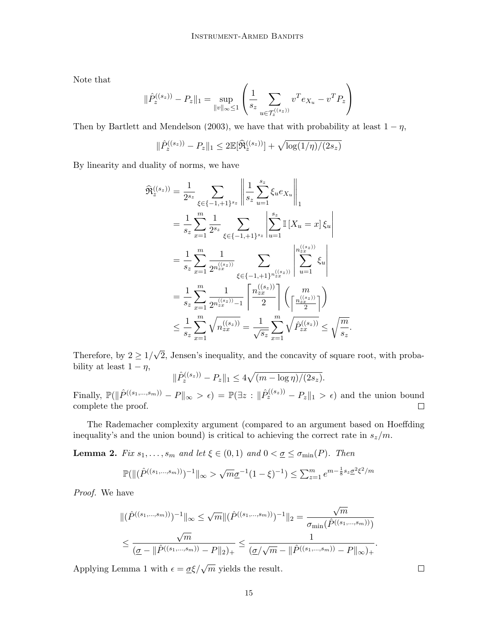Note that

$$
\|\hat{P}^{((s_z))}_z - P_z\|_1 = \sup_{\|v\|_{\infty} \leq 1} \left( \frac{1}{s_z} \sum_{u \in \mathcal{T}^{((s_z))}_z} v^T e_{X_u} - v^T P_z \right)
$$

Then by [Bartlett and Mendelson \(2003\)](#page-16-10), we have that with probability at least  $1 - \eta$ ,

$$
\|\hat{P}_z^{((s_z))} - P_z\|_1 \leq 2 \mathbb{E}[\widehat{\mathfrak{R}}_z^{((s_z))}] + \sqrt{\log(1/\eta)/(2s_z)}
$$

By linearity and duality of norms, we have

$$
\widehat{\mathfrak{R}}_{z}^{((s_{z}))} = \frac{1}{2^{s_{z}}} \sum_{\xi \in \{-1, +1\}^{s_{z}}} \left\| \frac{1}{s_{z}} \sum_{u=1}^{s_{z}} \xi_{u} e_{X_{u}} \right\|_{1}
$$
\n
$$
= \frac{1}{s_{z}} \sum_{x=1}^{m} \frac{1}{2^{s_{z}}} \sum_{\xi \in \{-1, +1\}^{s_{z}}} \left| \sum_{u=1}^{s_{z}} \mathbb{I} \left[ X_{u} = x \right] \xi_{u} \right|
$$
\n
$$
= \frac{1}{s_{z}} \sum_{x=1}^{m} \frac{1}{2^{n_{z_{x}}^{((s_{z}))}}} \sum_{\xi \in \{-1, +1\}^{n_{z}} \sum_{u=1}^{((s_{z}))} \left| \sum_{u=1}^{n_{z_{x}}^{((s_{z}))}} \xi_{u} \right|
$$
\n
$$
= \frac{1}{s_{z}} \sum_{x=1}^{m} \frac{1}{2^{n_{z_{x}}^{((s_{z}))} - 1}} \left[ \frac{n_{z_{x}}^{((s_{z}))}}{2} \right] \left( \frac{m}{\left[ \frac{n_{z_{x}}^{((s_{z}))}}{2} \right]} \right)
$$
\n
$$
\leq \frac{1}{s_{z}} \sum_{x=1}^{m} \sqrt{n_{z_{x}}^{((s_{z}))}} = \frac{1}{\sqrt{s_{z}}} \sum_{x=1}^{m} \sqrt{p_{z_{x}}^{((s_{z}))}} \leq \sqrt{\frac{m}{s_{z}}}
$$

Therefore, by  $2 \geq 1/$ √ 2, Jensen's inequality, and the concavity of square root, with probability at least  $1 - \eta$ ,

.

$$
\|\hat{P}_z^{((s_z))} - P_z\|_1 \le 4\sqrt{(m - \log \eta)/(2s_z)}.
$$

Finally,  $\mathbb{P}(\|\hat{P}^{((s_1,...,s_m))} - P\|_{\infty} > \epsilon) = \mathbb{P}(\exists z : \|\hat{P}^{((s_z))}_{z} - P_z\|_{1} > \epsilon)$  and the union bound complete the proof.  $\Box$ 

The Rademacher complexity argument (compared to an argument based on Hoeffding inequality's and the union bound) is critical to achieving the correct rate in  $s_z/m$ .

<span id="page-14-0"></span>**Lemma 2.** Fix  $s_1, \ldots, s_m$  and let  $\xi \in (0,1)$  and  $0 < \underline{\sigma} \leq \sigma_{\min}(P)$ . Then

$$
\mathbb{P}(\|(\hat{P}^{((s_1,\ldots,s_m))})^{-1}\|_{\infty} > \sqrt{m}\underline{\sigma}^{-1}(1-\xi)^{-1}) \le \sum_{z=1}^m e^{m-\frac{1}{8}s_z} \underline{\sigma}^2 \xi^2/m
$$

Proof. We have

$$
\|(\hat{P}^{((s_1,\ldots,s_m))})^{-1}\|_{\infty} \leq \sqrt{m} \|(\hat{P}^{((s_1,\ldots,s_m))})^{-1}\|_{2} = \frac{\sqrt{m}}{\sigma_{\min}(\hat{P}^{((s_1,\ldots,s_m))})} \\
\leq \frac{\sqrt{m}}{(\underline{\sigma}-\|\hat{P}^{((s_1,\ldots,s_m))}-P\|_{2})_{+}} \leq \frac{1}{(\underline{\sigma}/\sqrt{m}-\|\hat{P}^{((s_1,\ldots,s_m))}-P\|_{\infty})_{+}}.
$$

<span id="page-14-1"></span>Applying Lemma [1](#page-13-0) with  $\epsilon = \frac{\sigma \xi}{\sqrt{m}}$  yields the result.

 $\Box$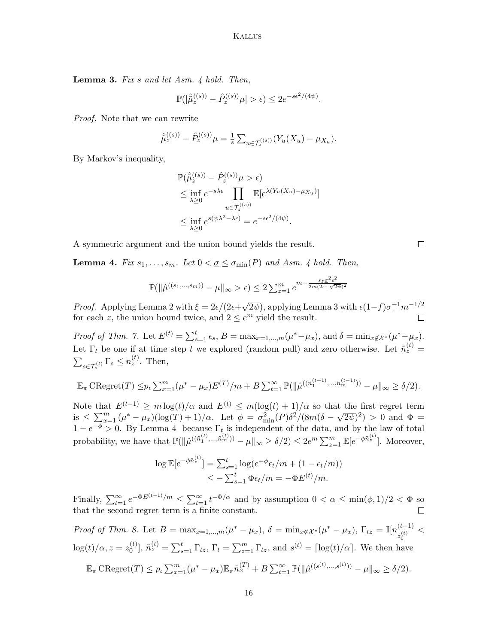Lemma 3. Fix s and let Asm. [4](#page-10-2) hold. Then,

$$
\mathbb{P}(|\hat{\hat{\mu}}_z^{(\mathcal{S})}) - \hat{P}_z^{(\mathcal{S})}\mu| > \epsilon) \le 2e^{-s\epsilon^2/(4\psi)}.
$$

Proof. Note that we can rewrite

$$
\hat{\tilde{\mu}}_z^{((s))} - \hat{P}_z^{((s))} \mu = \frac{1}{s} \sum_{u \in \mathcal{T}_z^{((s))}} (Y_u(X_u) - \mu_{X_u}).
$$

By Markov's inequality,

$$
\mathbb{P}(\hat{\tilde{\mu}}_{z}^{(s)}) - \hat{P}_{z}^{(s)})\mu > \epsilon)
$$
\n
$$
\leq \inf_{\lambda \geq 0} e^{-s\lambda \epsilon} \prod_{u \in \mathcal{T}_{z}^{(s)}} \mathbb{E}[e^{\lambda (Y_u(X_u) - \mu_{X_u})}]
$$
\n
$$
\leq \inf_{\lambda \geq 0} e^{s(\psi \lambda^2 - \lambda \epsilon)} = e^{-s\epsilon^2/(4\psi)}.
$$

A symmetric argument and the union bound yields the result.

<span id="page-15-0"></span>**Lemma [4](#page-10-2).** Fix  $s_1, \ldots, s_m$ . Let  $0 < \underline{\sigma} \leq \sigma_{\min}(P)$  and Asm. 4 hold. Then,

$$
\mathbb{P}(\|\hat{\mu}^{((s_1,\ldots,s_m))}-\mu\|_{\infty} > \epsilon) \le 2\sum_{z=1}^m e^{m-\frac{s_z\sigma^2\epsilon^2}{2m(2\epsilon+\sqrt{2\psi})^2}}
$$

*Proof.* Applying Lemma [2](#page-14-0) with  $\xi = 2\epsilon/(2\epsilon +$ √  $(\overline{2\psi})$ , applying Lemma [3](#page-14-1) with  $\epsilon(1-f)\underline{\sigma}^{-1}m^{-1/2}$ for each z, the union bound twice, and  $2 \leq e^m$  yield the result.

Proof of Thm. [7.](#page-10-4) Let  $E^{(t)} = \sum_{s=1}^{t} \epsilon_s$ ,  $B = \max_{x=1,\dots,m} (\mu^* - \mu_x)$ , and  $\delta = \min_{x \notin \mathcal{X}^*} (\mu^* - \mu_x)$ . Let  $\Gamma_t$  be one if at time step t we explored (random pull) and zero otherwise. Let  $\tilde{n}_z^{(t)} =$  $\sum_{s \in \mathcal{T}_z^{(t)}} \Gamma_s \leq n_z^{(t)}$ . Then,

$$
\mathbb{E}_{\pi} \operatorname{CRegret}(T) \leq p_{t} \sum_{x=1}^{m} (\mu^{*} - \mu_{x}) E^{(T)} / m + B \sum_{t=1}^{\infty} \mathbb{P}(\|\hat{\mu}^{((\tilde{n}_{1}^{(t-1)}, ..., \tilde{n}_{m}^{(t-1)}))} - \mu\|_{\infty} \geq \delta/2).
$$

Note that  $E^{(t-1)} \ge m \log(t)/\alpha$  and  $E^{(t)} \le m(\log(t) + 1)/\alpha$  so that the first regret term is  $\leq \sum_{x=1}^m (\mu^* - \mu_x)(\log(T) + 1)/\alpha$ . Let  $\phi = \sigma_{\min}^2(P)\delta^2/(8m(\delta - \sqrt{T})^2)$  $(\overline{2\psi})^2$  > 0 and  $\Phi =$  $1-e^{-\phi} > 0$ . By Lemma [4,](#page-15-0) because  $\Gamma_t$  is independent of the data, and by the law of total probability, we have that  $\mathbb{P}(\|\hat{\mu}^{((\tilde{n}_1^{(t)},...,\tilde{n}_m^{(t)}))} - \mu\|_{\infty} \geq \delta/2) \leq 2e^m \sum_{z=1}^m \mathbb{E}[e^{-\phi \tilde{n}_z^{(t)}}]$ . Moreover,

$$
\log \mathbb{E}[e^{-\phi \tilde{n}_z^{(t)}}] = \sum_{s=1}^t \log(e^{-\phi} \epsilon_t/m + (1 - \epsilon_t/m))
$$
  

$$
\leq -\sum_{s=1}^t \Phi \epsilon_t/m = -\Phi E^{(t)}/m.
$$

Finally,  $\sum_{t=1}^{\infty} e^{-\Phi E^{(t-1)}/m} \leq \sum_{t=1}^{\infty} t^{-\Phi/\alpha}$  and by assumption  $0 < \alpha \leq \min(\phi, 1)/2 < \Phi$  so that the second regret term is a finite constant.  $\Box$ 

Proof of Thm. 8. Let 
$$
B = \max_{x=1,\dots,m} (\mu^* - \mu_x)
$$
,  $\delta = \min_{x \notin \mathcal{X}^*} (\mu^* - \mu_x)$ ,  $\Gamma_{tz} = \mathbb{I}[n_{z_{(t)}^{(t)}}^{(t-1)} < \log(t)/\alpha, z = z_0^{(t)}]$ ,  $\tilde{n}_z^{(t)} = \sum_{s=1}^t \Gamma_{tz}$ ,  $\Gamma_t = \sum_{z=1}^m \Gamma_{tz}$ , and  $s^{(t)} = \lceil \log(t)/\alpha \rceil$ . We then have  
 $\mathbb{E}_{\pi} \operatorname{CRegret}(T) \leq p_t \sum_{x=1}^m (\mu^* - \mu_x) \mathbb{E}_{\pi} \tilde{n}_x^{(T)} + B \sum_{t=1}^{\infty} \mathbb{P}(\|\hat{\mu}^{((s^{(t)}, \dots, s^{(t)}))} - \mu\|_{\infty} \geq \delta/2).$ 

 $\Box$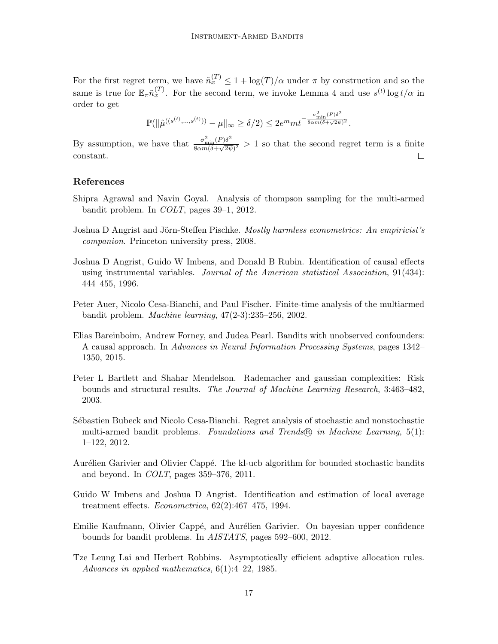For the first regret term, we have  $\tilde{n}_x^{(T)} \leq 1 + \log(T)/\alpha$  under  $\pi$  by construction and so the same is true for  $\mathbb{E}_{\pi} \tilde{n}_x^{(T)}$ . For the second term, we invoke Lemma [4](#page-15-0) and use  $s^{(t)} \log t / \alpha$  in order to get

$$
\mathbb{P}(\|\hat{\mu}^{((s^{(t)},\ldots,s^{(t)}))}-\mu\|_\infty\geq \delta/2)\leq 2e^mmt^{-\frac{\sigma_{\min}^2(P)\delta^2}{8\alpha m(\delta+\sqrt{2\psi})^2}}.
$$

By assumption, we have that  $\frac{\sigma_{\min}^2(P)\delta^2}{8\cos(\delta+Q)}$  $\frac{\partial_{\min}(F)\partial}{\partial \alpha m(\delta+\sqrt{2\psi})^2} > 1$  so that the second regret term is a finite constant.  $\Box$ 

# References

- <span id="page-16-4"></span>Shipra Agrawal and Navin Goyal. Analysis of thompson sampling for the multi-armed bandit problem. In COLT, pages 39–1, 2012.
- <span id="page-16-0"></span>Joshua D Angrist and Jörn-Steffen Pischke. Mostly harmless econometrics: An empiricist's companion. Princeton university press, 2008.
- <span id="page-16-9"></span>Joshua D Angrist, Guido W Imbens, and Donald B Rubin. Identification of causal effects using instrumental variables. Journal of the American statistical Association, 91(434): 444–455, 1996.
- <span id="page-16-3"></span>Peter Auer, Nicolo Cesa-Bianchi, and Paul Fischer. Finite-time analysis of the multiarmed bandit problem. Machine learning, 47(2-3):235–256, 2002.
- <span id="page-16-7"></span>Elias Bareinboim, Andrew Forney, and Judea Pearl. Bandits with unobserved confounders: A causal approach. In Advances in Neural Information Processing Systems, pages 1342– 1350, 2015.
- <span id="page-16-10"></span>Peter L Bartlett and Shahar Mendelson. Rademacher and gaussian complexities: Risk bounds and structural results. The Journal of Machine Learning Research, 3:463–482, 2003.
- <span id="page-16-1"></span>Sébastien Bubeck and Nicolo Cesa-Bianchi. Regret analysis of stochastic and nonstochastic multi-armed bandit problems. Foundations and Trends® in Machine Learning, 5(1): 1–122, 2012.
- <span id="page-16-6"></span>Aurélien Garivier and Olivier Cappé. The kl-ucb algorithm for bounded stochastic bandits and beyond. In COLT, pages 359–376, 2011.
- <span id="page-16-8"></span>Guido W Imbens and Joshua D Angrist. Identification and estimation of local average treatment effects. Econometrica, 62(2):467–475, 1994.
- <span id="page-16-5"></span>Emilie Kaufmann, Olivier Cappé, and Aurélien Garivier. On bayesian upper confidence bounds for bandit problems. In AISTATS, pages 592–600, 2012.
- <span id="page-16-2"></span>Tze Leung Lai and Herbert Robbins. Asymptotically efficient adaptive allocation rules. Advances in applied mathematics,  $6(1):4-22$ , 1985.